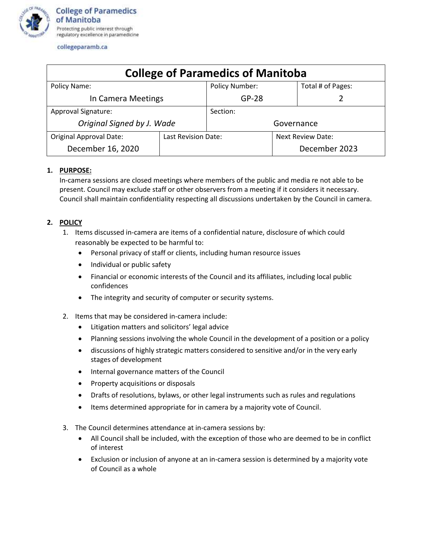

collegeparamb.ca

| <b>College of Paramedics of Manitoba</b> |                     |                       |                          |                   |
|------------------------------------------|---------------------|-----------------------|--------------------------|-------------------|
| Policy Name:                             |                     | <b>Policy Number:</b> |                          | Total # of Pages: |
| In Camera Meetings                       |                     | $GP-28$               |                          |                   |
| Approval Signature:                      |                     | Section:              |                          |                   |
| Original Signed by J. Wade               |                     | Governance            |                          |                   |
| <b>Original Approval Date:</b>           | Last Revision Date: |                       | <b>Next Review Date:</b> |                   |
| December 16, 2020                        |                     |                       |                          | December 2023     |

## **1. PURPOSE:**

In-camera sessions are closed meetings where members of the public and media re not able to be present. Council may exclude staff or other observers from a meeting if it considers it necessary. Council shall maintain confidentiality respecting all discussions undertaken by the Council in camera.

## **2. POLICY**

- 1. Items discussed in-camera are items of a confidential nature, disclosure of which could reasonably be expected to be harmful to:
	- Personal privacy of staff or clients, including human resource issues
	- Individual or public safety
	- Financial or economic interests of the Council and its affiliates, including local public confidences
	- The integrity and security of computer or security systems.
- 2. Items that may be considered in-camera include:
	- Litigation matters and solicitors' legal advice
	- Planning sessions involving the whole Council in the development of a position or a policy
	- discussions of highly strategic matters considered to sensitive and/or in the very early stages of development
	- Internal governance matters of the Council
	- Property acquisitions or disposals
	- Drafts of resolutions, bylaws, or other legal instruments such as rules and regulations
	- Items determined appropriate for in camera by a majority vote of Council.
- 3. The Council determines attendance at in-camera sessions by:
	- All Council shall be included, with the exception of those who are deemed to be in conflict of interest
	- Exclusion or inclusion of anyone at an in-camera session is determined by a majority vote of Council as a whole